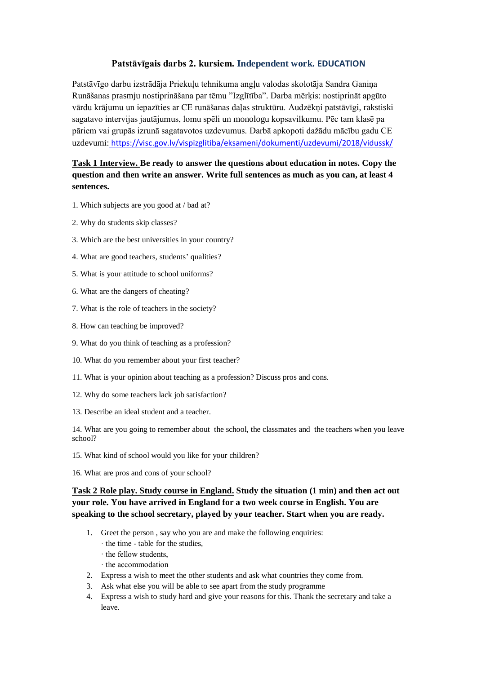## **Patstāvīgais darbs 2. kursiem. Independent work. EDUCATION**

Patstāvīgo darbu izstrādāja Priekuļu tehnikuma angļu valodas skolotāja Sandra Ganiņa Runāšanas prasmju nostiprināšana par tēmu "Izglītība". Darba mērķis: nostiprināt apgūto vārdu krājumu un iepazīties ar CE runāšanas daļas struktūru. Audzēkņi patstāvīgi, rakstiski sagatavo intervijas jautājumus, lomu spēli un monologu kopsavilkumu. Pēc tam klasē pa pāriem vai grupās izrunā sagatavotos uzdevumus. Darbā apkopoti dažādu mācību gadu CE uzdevumi: <https://visc.gov.lv/vispizglitiba/eksameni/dokumenti/uzdevumi/2018/vidussk/>

## **Task 1 Interview. Be ready to answer the questions about education in notes. Copy the question and then write an answer. Write full sentences as much as you can, at least 4 sentences.**

- 1. Which subjects are you good at / bad at?
- 2. Why do students skip classes?
- 3. Which are the best universities in your country?
- 4. What are good teachers, students' qualities?
- 5. What is your attitude to school uniforms?
- 6. What are the dangers of cheating?
- 7. What is the role of teachers in the society?
- 8. How can teaching be improved?
- 9. What do you think of teaching as a profession?
- 10. What do you remember about your first teacher?
- 11. What is your opinion about teaching as a profession? Discuss pros and cons.
- 12. Why do some teachers lack job satisfaction?
- 13. Describe an ideal student and a teacher.

14. What are you going to remember about the school, the classmates and the teachers when you leave school?

- 15. What kind of school would you like for your children?
- 16. What are pros and cons of your school?

**Task 2 Role play. Study course in England. Study the situation (1 min) and then act out your role. You have arrived in England for a two week course in English. You are speaking to the school secretary, played by your teacher. Start when you are ready.**

- 1. Greet the person , say who you are and make the following enquiries:
	- · the time table for the studies,
	- · the fellow students,
	- · the accommodation
- 2. Express a wish to meet the other students and ask what countries they come from.
- 3. Ask what else you will be able to see apart from the study programme
- 4. Express a wish to study hard and give your reasons for this. Thank the secretary and take a leave.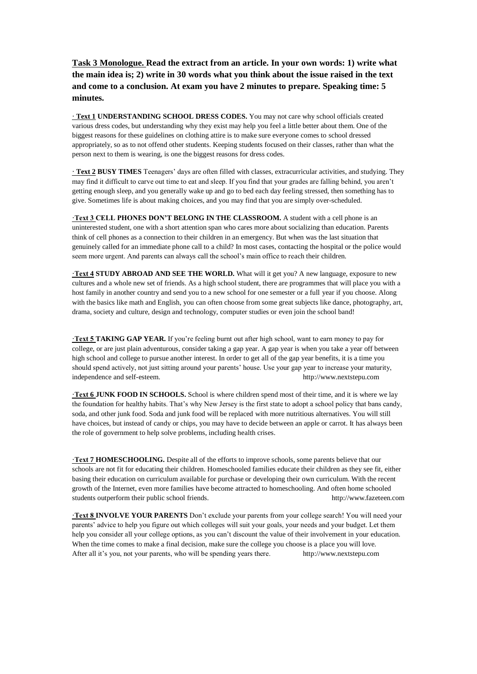**Task 3 Monologue. Read the extract from an article. In your own words: 1) write what the main idea is; 2) write in 30 words what you think about the issue raised in the text and come to a conclusion. At exam you have 2 minutes to prepare. Speaking time: 5 minutes.**

**· Text 1 UNDERSTANDING SCHOOL DRESS CODES.** You may not care why school officials created various dress codes, but understanding why they exist may help you feel a little better about them. One of the biggest reasons for these guidelines on clothing attire is to make sure everyone comes to school dressed appropriately, so as to not offend other students. Keeping students focused on their classes, rather than what the person next to them is wearing, is one the biggest reasons for dress codes.

**· Text 2 BUSY TIMES** Teenagers' days are often filled with classes, extracurricular activities, and studying. They may find it difficult to carve out time to eat and sleep. If you find that your grades are falling behind, you aren't getting enough sleep, and you generally wake up and go to bed each day feeling stressed, then something has to give. Sometimes life is about making choices, and you may find that you are simply over-scheduled.

**·Text 3 CELL PHONES DON'T BELONG IN THE CLASSROOM.** A student with a cell phone is an uninterested student, one with a short attention span who cares more about socializing than education. Parents think of cell phones as a connection to their children in an emergency. But when was the last situation that genuinely called for an immediate phone call to a child? In most cases, contacting the hospital or the police would seem more urgent. And parents can always call the school's main office to reach their children.

**·Text 4 STUDY ABROAD AND SEE THE WORLD.** What will it get you? A new language, exposure to new cultures and a whole new set of friends. As a high school student, there are programmes that will place you with a host family in another country and send you to a new school for one semester or a full year if you choose. Along with the basics like math and English, you can often choose from some great subjects like dance, photography, art, drama, society and culture, design and technology, computer studies or even join the school band!

**·Text 5 TAKING GAP YEAR.** If you're feeling burnt out after high school, want to earn money to pay for college, or are just plain adventurous, consider taking a gap year. A gap year is when you take a year off between high school and college to pursue another interest. In order to get all of the gap year benefits, it is a time you should spend actively, not just sitting around your parents' house. Use your gap year to increase your maturity, independence and self-esteem. http://www.nextstepu.com

**·Text 6 JUNK FOOD IN SCHOOLS.** School is where children spend most of their time, and it is where we lay the foundation for healthy habits. That's why New Jersey is the first state to adopt a school policy that bans candy, soda, and other junk food. Soda and junk food will be replaced with more nutritious alternatives. You will still have choices, but instead of candy or chips, you may have to decide between an apple or carrot. It has always been the role of government to help solve problems, including health crises.

**·Text 7 HOMESCHOOLING.** Despite all of the efforts to improve schools, some parents believe that our schools are not fit for educating their children. Homeschooled families educate their children as they see fit, either basing their education on curriculum available for purchase or developing their own curriculum. With the recent growth of the Internet, even more families have become attracted to homeschooling. And often home schooled students outperform their public school friends. [http://www.fazeteen.com](http://www.fazeteen.com/)

**·Text 8 INVOLVE YOUR PARENTS** Don't exclude your parents from your college search! You will need your parents' advice to help you figure out which colleges will suit your goals, your needs and your budget. Let them help you consider all your college options, as you can't discount the value of their involvement in your education. When the time comes to make a final decision, make sure the college you choose is a place you will love. After all it's you, not your parents, who will be spending years there. [http://www.nextstepu.com](http://www.nextstepu.com/)